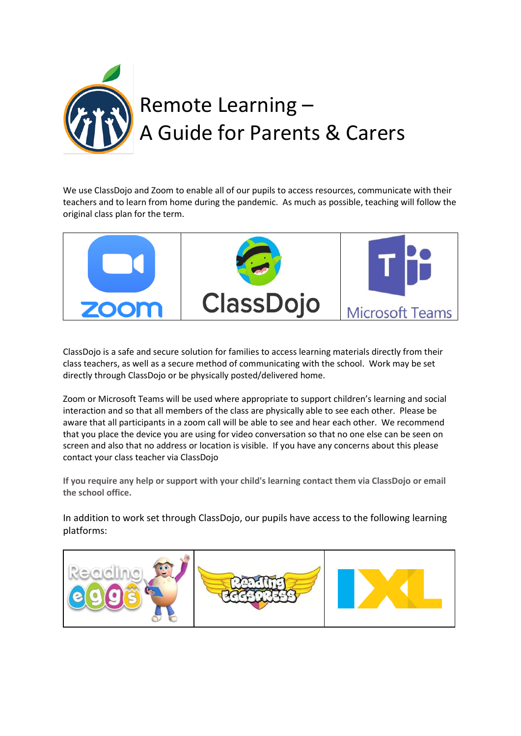

We use ClassDojo and Zoom to enable all of our pupils to access resources, communicate with their teachers and to learn from home during the pandemic. As much as possible, teaching will follow the original class plan for the term.



ClassDojo is a safe and secure solution for families to access learning materials directly from their class teachers, as well as a secure method of communicating with the school. Work may be set directly through ClassDojo or be physically posted/delivered home.

Zoom or Microsoft Teams will be used where appropriate to support children's learning and social interaction and so that all members of the class are physically able to see each other. Please be aware that all participants in a zoom call will be able to see and hear each other.We recommend that you place the device you are using for video conversation so that no one else can be seen on screen and also that no address or location is visible. If you have any concerns about this please contact your class teacher via ClassDojo

**If you require any help or support with your child's learning contact them via ClassDojo or email the school office.**

In addition to work set through ClassDojo, our pupils have access to the following learning platforms: